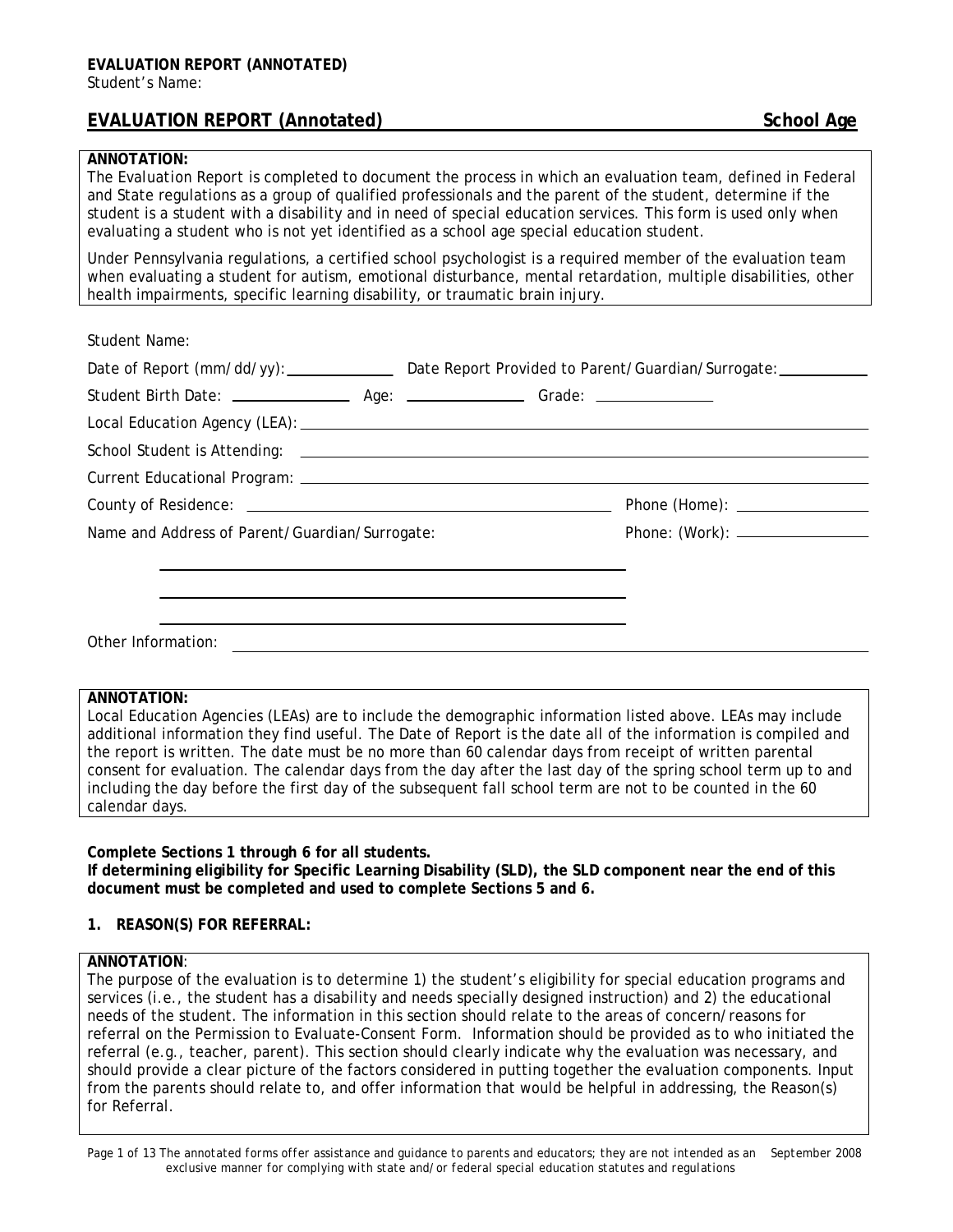# **EVALUATION REPORT (Annotated)** School Age

#### **ANNOTATION:**

The *Evaluation Report* is completed to document the process in which an evaluation team, defined in Federal and State regulations as a group of qualified professionals and the parent of the student, determine if the student is a student with a disability and in need of special education services. This form is used only when evaluating a student who is not yet identified as a school age special education student.

Under Pennsylvania regulations, a certified school psychologist is a required member of the evaluation team when evaluating a student for autism, emotional disturbance, mental retardation, multiple disabilities, other health impairments, specific learning disability, or traumatic brain injury.

Student Name:

|                                                 | Date of Report (mm/dd/yy): Date Report Provided to Parent/Guardian/Surrogate: _________ |
|-------------------------------------------------|-----------------------------------------------------------------------------------------|
|                                                 |                                                                                         |
|                                                 |                                                                                         |
|                                                 |                                                                                         |
|                                                 |                                                                                         |
|                                                 |                                                                                         |
| Name and Address of Parent/Guardian/Surrogate:  |                                                                                         |
|                                                 |                                                                                         |
|                                                 |                                                                                         |
|                                                 |                                                                                         |
| Other Information: <u>_____________________</u> |                                                                                         |

# **ANNOTATION:**

Local Education Agencies (LEAs) are to include the demographic information listed above. LEAs may include additional information they find useful. The Date of Report is the date all of the information is compiled and the report is written. The date must be no more than 60 calendar days from receipt of written parental consent for evaluation. The calendar days from the day after the last day of the spring school term up to and including the day before the first day of the subsequent fall school term are not to be counted in the 60 calendar days.

**Complete Sections 1 through 6 for all students.** 

**If determining eligibility for Specific Learning Disability (SLD), the SLD component near the end of this document must be completed and used to complete Sections 5 and 6.** 

### **1. REASON(S) FOR REFERRAL:**

### **ANNOTATION**:

The purpose of the evaluation is to determine 1) the student's eligibility for special education programs and services (i.e., the student has a disability and needs specially designed instruction) and 2) the educational needs of the student. The information in this section should relate to the areas of concern/reasons for referral on the *Permission to Evaluate*-*Consent Form*. Information should be provided as to who initiated the referral (e.g., teacher, parent). This section should clearly indicate why the evaluation was necessary, and should provide a clear picture of the factors considered in putting together the evaluation components. Input from the parents should relate to, and offer information that would be helpful in addressing, the Reason(s) for Referral.

*Page 1 of 13 The annotated forms offer assistance and guidance to parents and educators; they are not intended as an September 2008 exclusive manner for complying with state and/or federal special education statutes and regulations*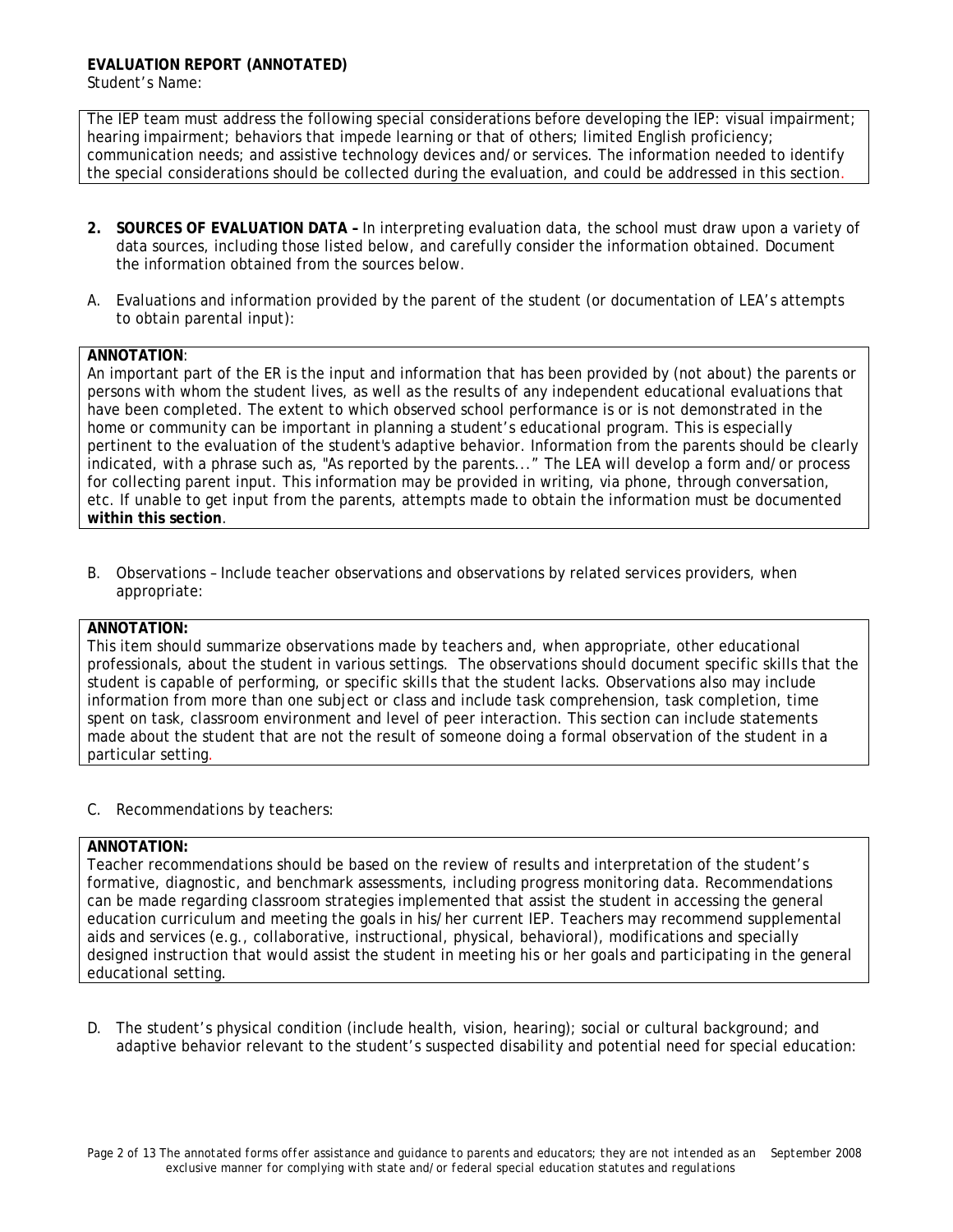The IEP team must address the following special considerations before developing the IEP: visual impairment; hearing impairment; behaviors that impede learning or that of others; limited English proficiency; communication needs; and assistive technology devices and/or services. The information needed to identify the special considerations should be collected during the evaluation, and could be addressed in this section.

- **2. SOURCES OF EVALUATION DATA** In interpreting evaluation data, the school must draw upon a variety of data sources, including those listed below, and carefully consider the information obtained. Document the information obtained from the sources below.
- A. Evaluations and information provided by the parent of the student (or documentation of LEA's attempts to obtain parental input):

### **ANNOTATION**:

An important part of the ER is the input and information that has been provided by (not about) the parents or persons with whom the student lives, as well as the results of any independent educational evaluations that have been completed. The extent to which observed school performance is or is not demonstrated in the home or community can be important in planning a student's educational program. This is especially pertinent to the evaluation of the student's adaptive behavior. Information from the parents should be clearly indicated, with a phrase such as, "As reported by the parents..." The LEA will develop a form and/or process for collecting parent input. This information may be provided in writing, via phone, through conversation, etc. If unable to get input from the parents, attempts made to obtain the information must be documented **within this section**.

B. Observations – Include teacher observations and observations by related services providers, when appropriate:

## **ANNOTATION:**

This item should summarize observations made by teachers and, when appropriate, other educational professionals, about the student in various settings.The observations should document specific skills that the student is capable of performing, or specific skills that the student lacks. Observations also may include information from more than one subject or class and include task comprehension, task completion, time spent on task, classroom environment and level of peer interaction. This section can include statements made about the student that are not the result of someone doing a formal observation of the student in a particular setting.

C. Recommendations by teachers:

# **ANNOTATION:**

Teacher recommendations should be based on the review of results and interpretation of the student's formative, diagnostic, and benchmark assessments, including progress monitoring data. Recommendations can be made regarding classroom strategies implemented that assist the student in accessing the general education curriculum and meeting the goals in his/her current IEP. Teachers may recommend supplemental aids and services (e.g., collaborative, instructional, physical, behavioral), modifications and specially designed instruction that would assist the student in meeting his or her goals and participating in the general educational setting.

D. The student's physical condition (include health, vision, hearing); social or cultural background; and adaptive behavior relevant to the student's suspected disability and potential need for special education: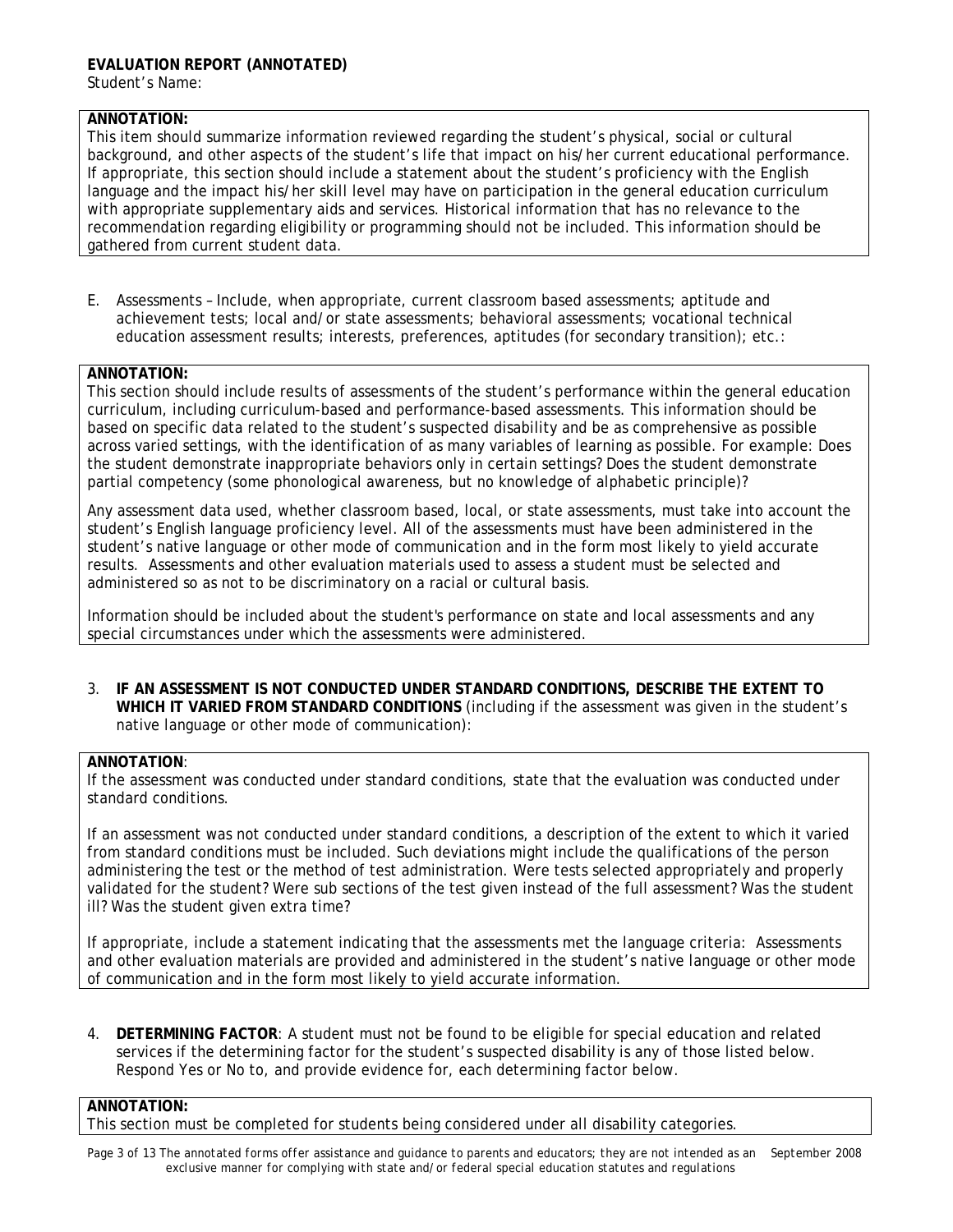## **ANNOTATION:**

This item should summarize information reviewed regarding the student's physical, social or cultural background, and other aspects of the student's life that impact on his/her current educational performance. If appropriate, this section should include a statement about the student's proficiency with the English language and the impact his/her skill level may have on participation in the general education curriculum with appropriate supplementary aids and services. Historical information that has no relevance to the recommendation regarding eligibility or programming should not be included. This information should be gathered from current student data.

E. Assessments – Include, when appropriate, current classroom based assessments; aptitude and achievement tests; local and/or state assessments; behavioral assessments; vocational technical education assessment results; interests, preferences, aptitudes (for secondary transition); etc.:

### **ANNOTATION:**

This section should include results of assessments of the student's performance within the general education curriculum, including curriculum-based and performance-based assessments. This information should be based on specific data related to the student's suspected disability and be as comprehensive as possible across varied settings, with the identification of as many variables of learning as possible. For example: Does the student demonstrate inappropriate behaviors only in certain settings? Does the student demonstrate partial competency (some phonological awareness, but no knowledge of alphabetic principle)?

Any assessment data used, whether classroom based, local, or state assessments, must take into account the student's English language proficiency level. All of the assessments must have been administered in the student's native language or other mode of communication and in the form most likely to yield accurate results. Assessments and other evaluation materials used to assess a student must be selected and administered so as not to be discriminatory on a racial or cultural basis.

Information should be included about the student's performance on state and local assessments and any special circumstances under which the assessments were administered.

3. **IF AN ASSESSMENT IS NOT CONDUCTED UNDER STANDARD CONDITIONS, DESCRIBE THE EXTENT TO WHICH IT VARIED FROM STANDARD CONDITIONS** (including if the assessment was given in the student's native language or other mode of communication):

# **ANNOTATION**:

If the assessment was conducted under standard conditions, state that the evaluation was conducted under standard conditions.

If an assessment was not conducted under standard conditions, a description of the extent to which it varied from standard conditions must be included. Such deviations might include the qualifications of the person administering the test or the method of test administration. Were tests selected appropriately and properly validated for the student? Were sub sections of the test given instead of the full assessment? Was the student ill? Was the student given extra time?

If appropriate, include a statement indicating that the assessments met the language criteria: Assessments and other evaluation materials are provided and administered in the student's native language or other mode of communication and in the form most likely to yield accurate information.

4. **DETERMINING FACTOR**: A student must not be found to be eligible for special education and related services if the determining factor for the student's suspected disability is any of those listed below. Respond Yes or No to, and provide evidence for, each determining factor below.

# **ANNOTATION:**

This section must be completed for students being considered under all disability categories.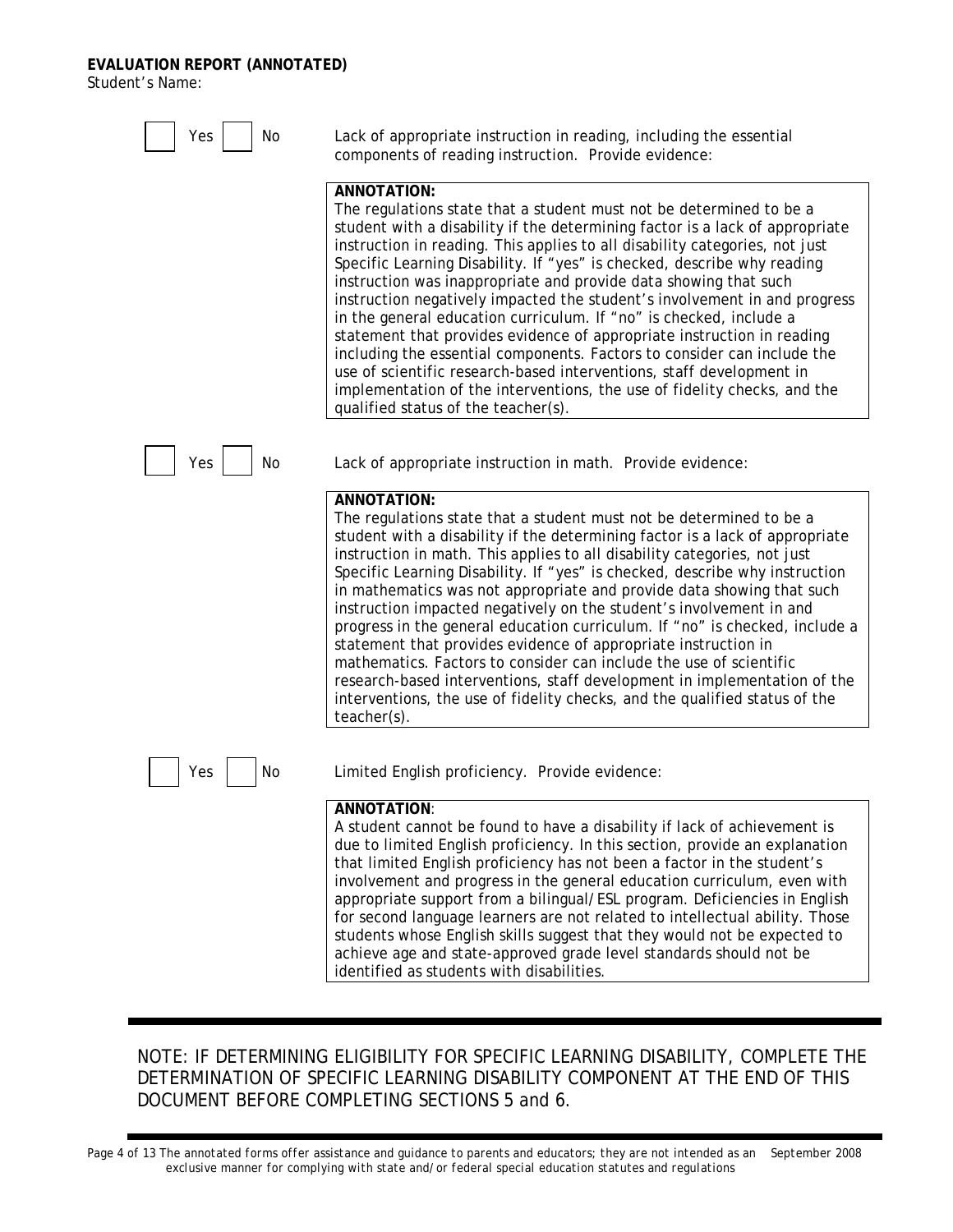# **EVALUATION REPORT (ANNOTATED)**

Student's Name:



# NOTE: IF DETERMINING ELIGIBILITY FOR SPECIFIC LEARNING DISABILITY, COMPLETE THE *DETERMINATION OF SPECIFIC LEARNING DISABILITY* COMPONENT AT THE END OF THIS DOCUMENT BEFORE COMPLETING SECTIONS 5 and 6.

*Page 4 of 13 The annotated forms offer assistance and guidance to parents and educators; they are not intended as an September 2008 exclusive manner for complying with state and/or federal special education statutes and regulations*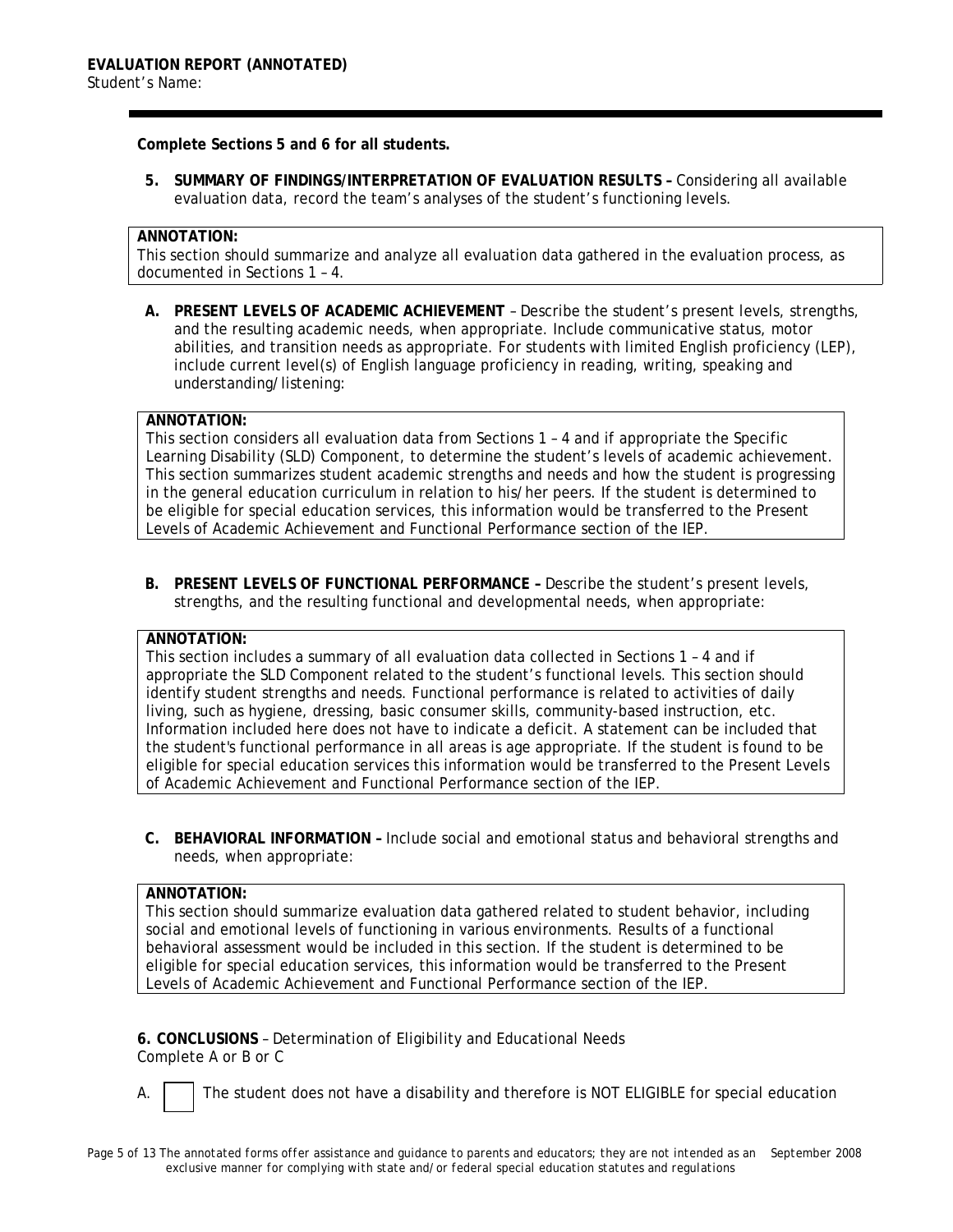### **Complete Sections 5 and 6 for all students.**

**5. SUMMARY OF FINDINGS/INTERPRETATION OF EVALUATION RESULTS –** Considering all available evaluation data, record the team's analyses of the student's functioning levels.

#### **ANNOTATION:**

This section should summarize and analyze all evaluation data gathered in the evaluation process, as documented in Sections 1 – 4.

**A. PRESENT LEVELS OF ACADEMIC ACHIEVEMENT** – Describe the student's present levels, strengths, and the resulting academic needs, when appropriate. Include communicative status, motor abilities, and transition needs as appropriate. For students with limited English proficiency (LEP), include current level(s) of English language proficiency in reading, writing, speaking and understanding/listening:

## **ANNOTATION:**

This section considers all evaluation data from Sections 1 – 4 and if appropriate the Specific Learning Disability (SLD) Component, to determine the student's levels of academic achievement. This section summarizes student academic strengths and needs and how the student is progressing in the general education curriculum in relation to his/her peers. If the student is determined to be eligible for special education services, this information would be transferred to the Present Levels of Academic Achievement and Functional Performance section of the IEP.

**B. PRESENT LEVELS OF FUNCTIONAL PERFORMANCE –** Describe the student's present levels, strengths, and the resulting functional and developmental needs, when appropriate:

#### **ANNOTATION:**

This section includes a summary of all evaluation data collected in Sections 1 – 4 and if appropriate the SLD Component related to the student's functional levels. This section should identify student strengths and needs. Functional performance is related to activities of daily living, such as hygiene, dressing, basic consumer skills, community-based instruction, etc. Information included here does not have to indicate a deficit. A statement can be included that the student's functional performance in all areas is age appropriate. If the student is found to be eligible for special education services this information would be transferred to the Present Levels of Academic Achievement and Functional Performance section of the IEP.

**C. BEHAVIORAL INFORMATION –** Include social and emotional status and behavioral strengths and needs, when appropriate:

### **ANNOTATION:**

This section should summarize evaluation data gathered related to student behavior, including social and emotional levels of functioning in various environments. Results of a functional behavioral assessment would be included in this section. If the student is determined to be eligible for special education services, this information would be transferred to the Present Levels of Academic Achievement and Functional Performance section of the IEP.

**6. CONCLUSIONS** – Determination of Eligibility and Educational Needs Complete A or B or C

A.  $\vert$  The student does not have a disability and therefore is NOT ELIGIBLE for special education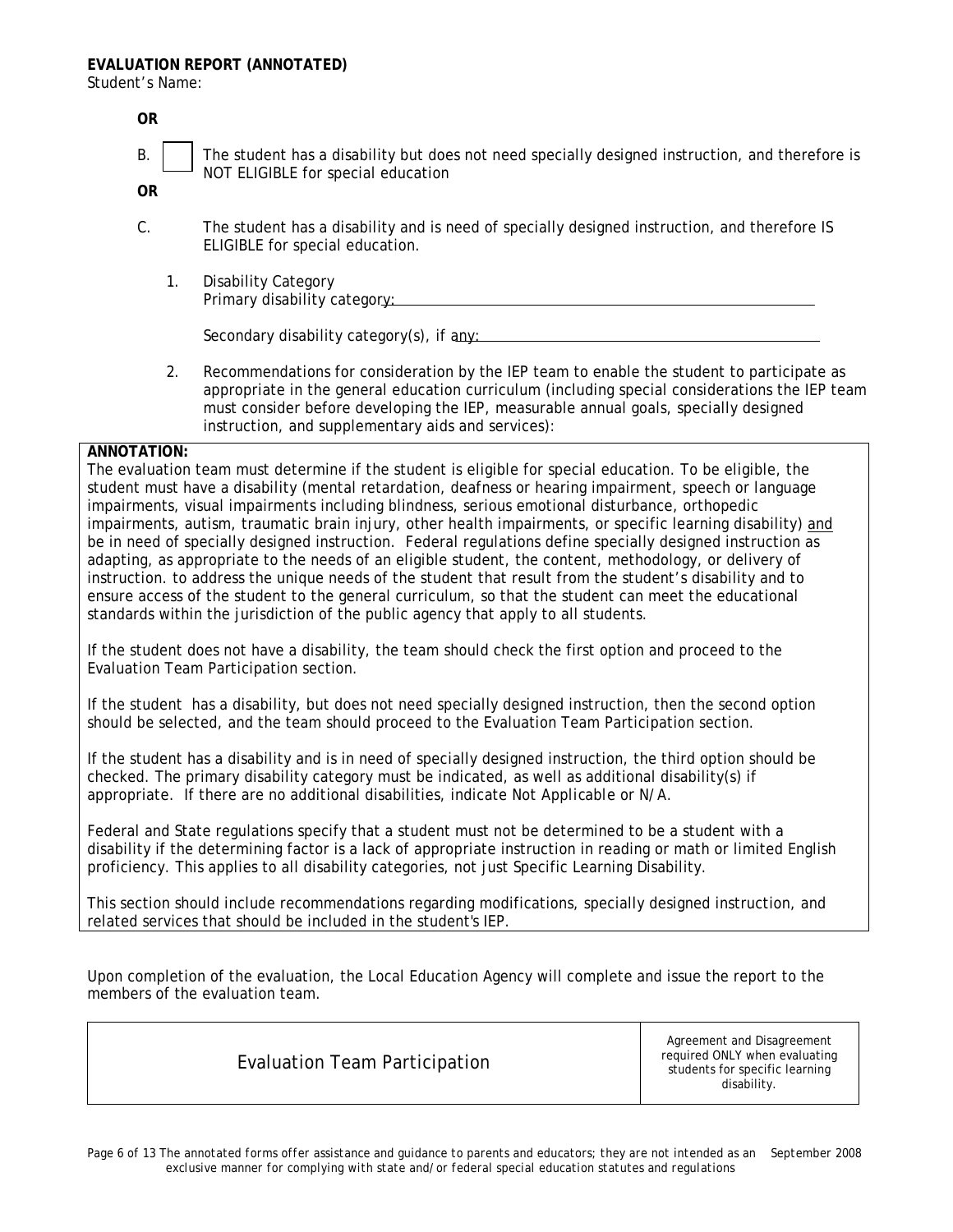Student's Name:

| 0R                                                                                                                                                                                                       |    |                                                                                                                                                                                                                                                                                                                                           |  |  |  |
|----------------------------------------------------------------------------------------------------------------------------------------------------------------------------------------------------------|----|-------------------------------------------------------------------------------------------------------------------------------------------------------------------------------------------------------------------------------------------------------------------------------------------------------------------------------------------|--|--|--|
| <b>B.</b>                                                                                                                                                                                                |    | The student has a disability but does not need specially designed instruction, and therefore is<br>NOT ELIGIBLE for special education                                                                                                                                                                                                     |  |  |  |
| <b>OR</b>                                                                                                                                                                                                |    |                                                                                                                                                                                                                                                                                                                                           |  |  |  |
| C.                                                                                                                                                                                                       |    | The student has a disability and is need of specially designed instruction, and therefore IS<br>ELIGIBLE for special education.                                                                                                                                                                                                           |  |  |  |
|                                                                                                                                                                                                          | 1. | <b>Disability Category</b><br>Primary disability category:                                                                                                                                                                                                                                                                                |  |  |  |
|                                                                                                                                                                                                          |    | Secondary disability category(s), if any:                                                                                                                                                                                                                                                                                                 |  |  |  |
|                                                                                                                                                                                                          | 2. | Recommendations for consideration by the IEP team to enable the student to participate as<br>appropriate in the general education curriculum (including special considerations the IEP team<br>must consider before developing the IEP, measurable annual goals, specially designed<br>instruction, and supplementary aids and services): |  |  |  |
| ANNOTATION:                                                                                                                                                                                              |    |                                                                                                                                                                                                                                                                                                                                           |  |  |  |
| The evaluation team must determine if the student is eligible for special education. To be eligible, the                                                                                                 |    |                                                                                                                                                                                                                                                                                                                                           |  |  |  |
| student must have a disability (mental retardation, deafness or hearing impairment, speech or language<br>impairments, visual impairments including blindness, serious emotional disturbance, orthopedic |    |                                                                                                                                                                                                                                                                                                                                           |  |  |  |
|                                                                                                                                                                                                          |    |                                                                                                                                                                                                                                                                                                                                           |  |  |  |

impairments, visual impairments including blindness, serious emotional disturbance, orthopedic impairments, autism, traumatic brain injury, other health impairments, or specific learning disability) and be in need of specially designed instruction. Federal regulations define specially designed instruction as adapting, as appropriate to the needs of an eligible student, the content, methodology, or delivery of instruction. to address the unique needs of the student that result from the student's disability and to ensure access of the student to the general curriculum, so that the student can meet the educational standards within the jurisdiction of the public agency that apply to all students.

If the student does not have a disability, the team should check the first option and proceed to the Evaluation Team Participation section.

If the student has a disability, but does not need specially designed instruction, then the second option should be selected, and the team should proceed to the Evaluation Team Participation section.

If the student has a disability and is in need of specially designed instruction, the third option should be checked. The primary disability category must be indicated, as well as additional disability(s) if appropriate. If there are no additional disabilities, indicate *Not Applicable* or *N/A*.

Federal and State regulations specify that a student must not be determined to be a student with a disability if the determining factor is a lack of appropriate instruction in reading or math or limited English proficiency. This applies to all disability categories, not just Specific Learning Disability.

This section should include recommendations regarding modifications, specially designed instruction, and related services that should be included in the student's IEP.

Upon completion of the evaluation, the Local Education Agency will complete and issue the report to the members of the evaluation team.

Evaluation Team Participation

Agreement and Disagreement required ONLY when evaluating students for specific learning disability.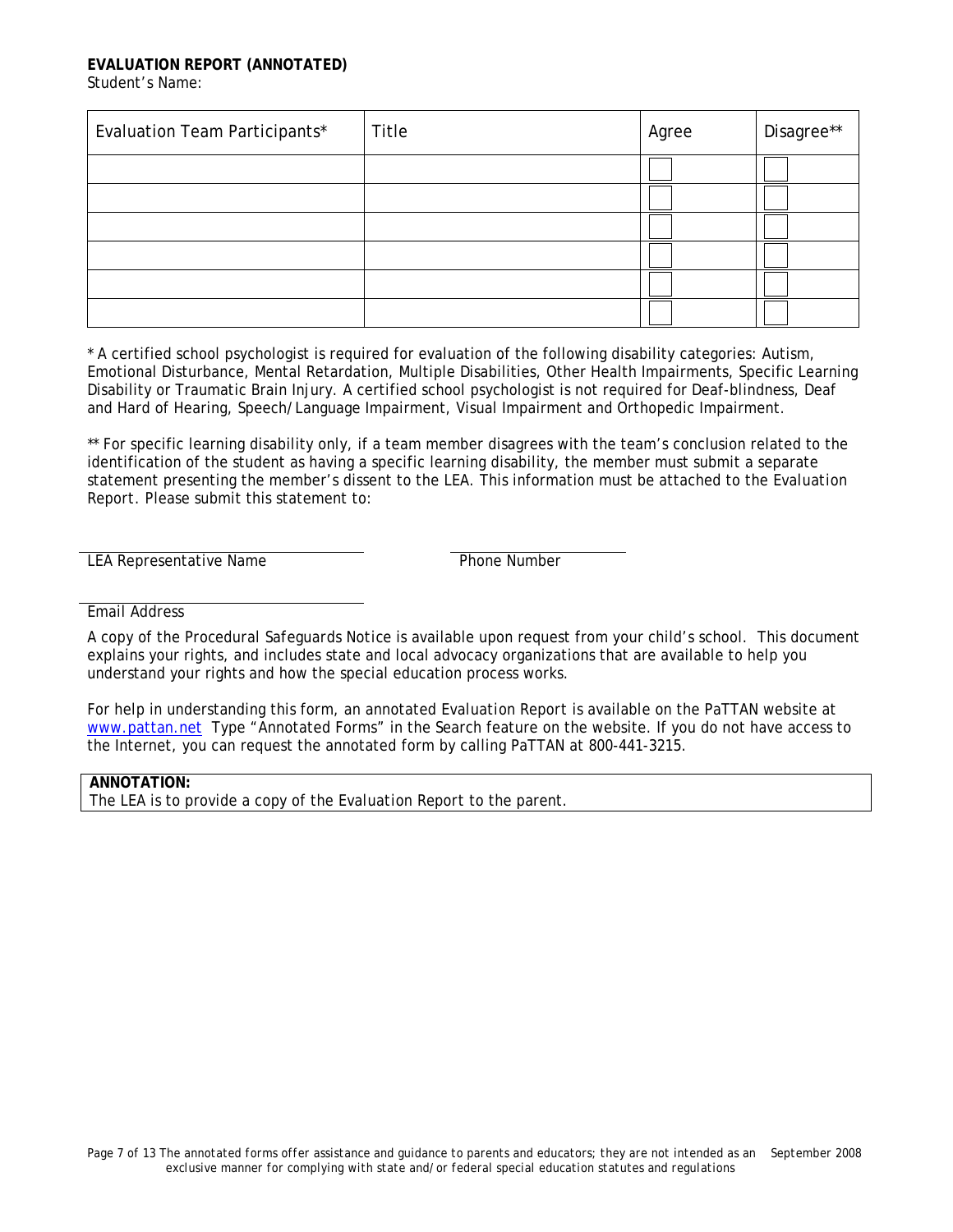#### **EVALUATION REPORT (ANNOTATED)**  Student's Name:

| Evaluation Team Participants* | Title | Agree | Disagree** |
|-------------------------------|-------|-------|------------|
|                               |       |       |            |
|                               |       |       |            |
|                               |       |       |            |
|                               |       |       |            |
|                               |       |       |            |
|                               |       |       |            |

\* A certified school psychologist is required for evaluation of the following disability categories: Autism, Emotional Disturbance, Mental Retardation, Multiple Disabilities, Other Health Impairments, Specific Learning Disability or Traumatic Brain Injury. A certified school psychologist is not required for Deaf-blindness, Deaf and Hard of Hearing, Speech/Language Impairment, Visual Impairment and Orthopedic Impairment.

\*\* For specific learning disability only, if a team member disagrees with the team's conclusion related to the identification of the student as having a specific learning disability, the member must submit a separate statement presenting the member's dissent to the LEA. This information must be attached to the *Evaluation Report*. Please submit this statement to:

LEA Representative Name

Email Address

A copy of the *Procedural Safeguards Notice* is available upon request from your child's school. This document explains your rights, and includes state and local advocacy organizations that are available to help you understand your rights and how the special education process works.

For help in understanding this form, an annotated *Evaluation Report* is available on the PaTTAN website at [www.pattan.net](http://www.pattan.net/) Type "Annotated Forms" in the Search feature on the website. If you do not have access to the Internet, you can request the annotated form by calling PaTTAN at 800-441-3215.

# **ANNOTATION:**

The LEA is to provide a copy of the *Evaluation Report* to the parent.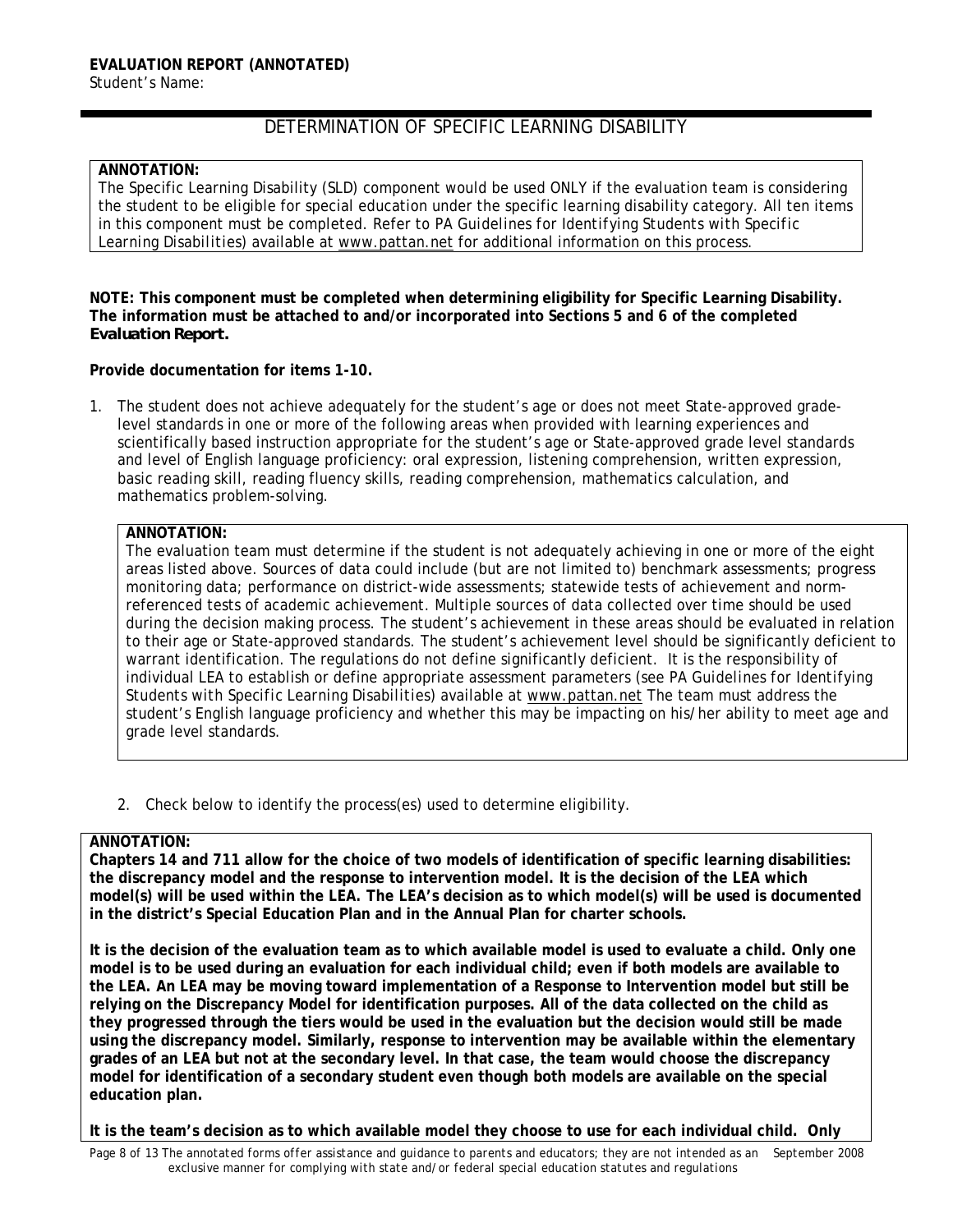# DETERMINATION OF SPECIFIC LEARNING DISABILITY

### **ANNOTATION:**

The Specific Learning Disability (SLD) component would be used ONLY if the evaluation team is considering the student to be eligible for special education under the specific learning disability category. All ten items in this component must be completed. Refer to *PA Guidelines for Identifying Students with Specific Learning Disabilities*) available at [www.pattan.net](http://www.pattan.net/) for additional information on this process.

**NOTE: This component must be completed when determining eligibility for Specific Learning Disability. The information must be attached to and/or incorporated into Sections 5 and 6 of the completed**  *Evaluation Report.* 

### **Provide documentation for items 1-10.**

1. The student does not achieve adequately for the student's age or does not meet State-approved gradelevel standards in one or more of the following areas when provided with learning experiences and scientifically based instruction appropriate for the student's age or State-approved grade level standards and level of English language proficiency: oral expression, listening comprehension, written expression, basic reading skill, reading fluency skills, reading comprehension, mathematics calculation, and mathematics problem-solving.

# **ANNOTATION:**

The evaluation team must determine if the student is not adequately achieving in one or more of the eight areas listed above. Sources of data could include (but are not limited to) benchmark assessments; progress monitoring data; performance on district-wide assessments; statewide tests of achievement and normreferenced tests of academic achievement. Multiple sources of data collected over time should be used during the decision making process. The student's achievement in these areas should be evaluated in relation to their age or State-approved standards. The student's achievement level should be significantly deficient to warrant identification. The regulations do not define significantly deficient. It is the responsibility of individual LEA to establish or define appropriate assessment parameters (see *PA Guidelines for Identifying Students with Specific Learning Disabilities*) available at [www.pattan.net](http://www.pattan.net/) The team must address the student's English language proficiency and whether this may be impacting on his/her ability to meet age and grade level standards.

2. Check below to identify the process(es) used to determine eligibility.

# **ANNOTATION:**

**Chapters 14 and 711 allow for the choice of two models of identification of specific learning disabilities: the discrepancy model and the response to intervention model. It is the decision of the LEA which model(s) will be used within the LEA. The LEA's decision as to which model(s) will be used is documented in the district's Special Education Plan and in the Annual Plan for charter schools.** 

**It is the decision of the evaluation team as to which available model is used to evaluate a child. Only one model is to be used during an evaluation for each individual child; even if both models are available to the LEA. An LEA may be moving toward implementation of a Response to Intervention model but still be relying on the Discrepancy Model for identification purposes. All of the data collected on the child as they progressed through the tiers would be used in the evaluation but the decision would still be made using the discrepancy model. Similarly, response to intervention may be available within the elementary grades of an LEA but not at the secondary level. In that case, the team would choose the discrepancy model for identification of a secondary student even though both models are available on the special education plan.** 

**It is the team's decision as to which available model they choose to use for each individual child. Only**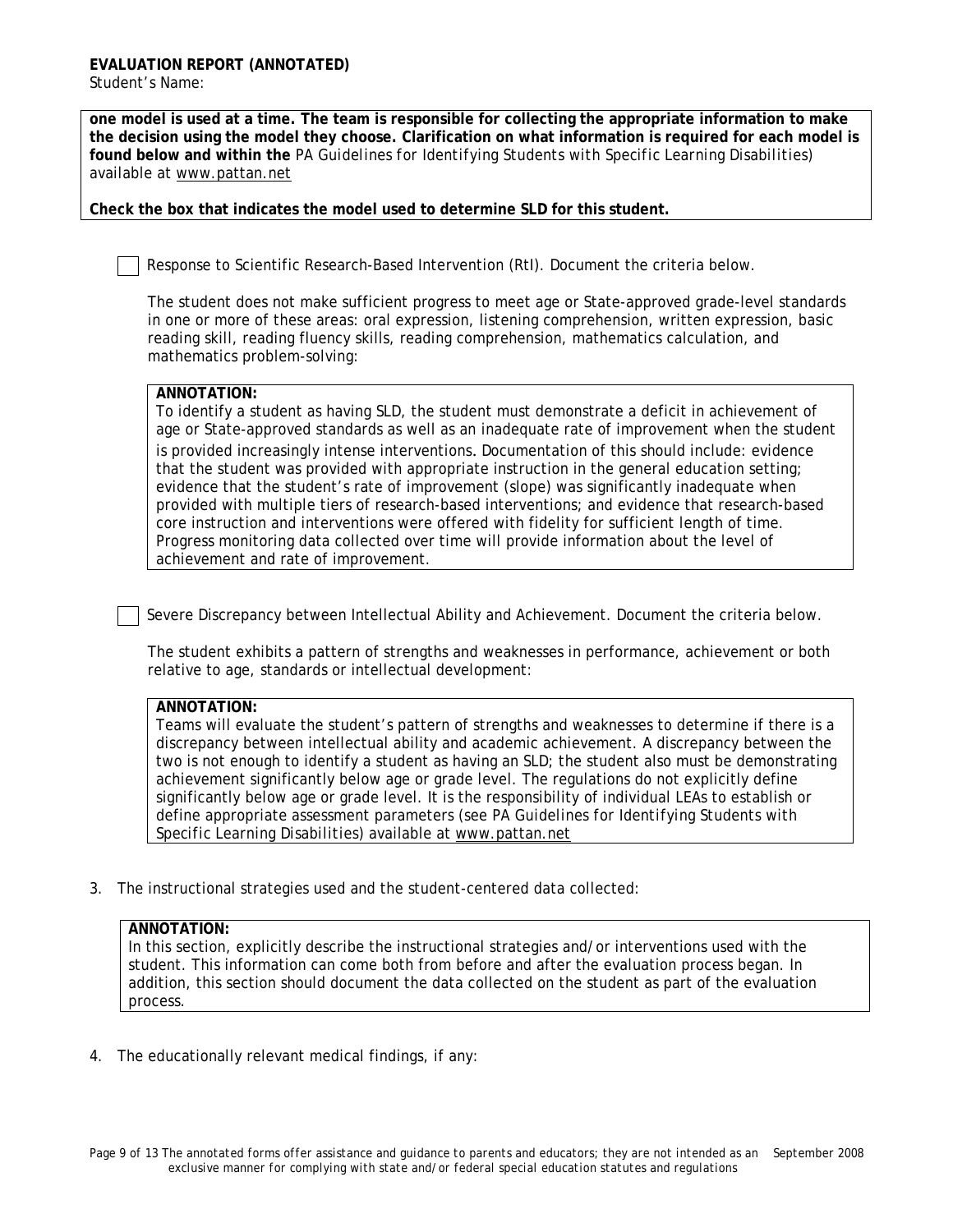**one model is used at a time. The team is responsible for collecting the appropriate information to make the decision using the model they choose. Clarification on what information is required for each model is found below and within the** *PA Guidelines for Identifying Students with Specific Learning Disabilities*) available at [www.pattan.net](http://www.pattan.net/)

**Check the box that indicates the model used to determine SLD for this student.**

Response to Scientific Research-Based Intervention (RtI). Document the criteria below.

The student does not make sufficient progress to meet age or State-approved grade-level standards in one or more of these areas: oral expression, listening comprehension, written expression, basic reading skill, reading fluency skills, reading comprehension, mathematics calculation, and mathematics problem-solving:

## **ANNOTATION:**

To identify a student as having SLD, the student must demonstrate a deficit in achievement of age or State-approved standards as well as an inadequate rate of improvement when the student is provided increasingly intense interventions. Documentation of this should include: evidence that the student was provided with appropriate instruction in the general education setting; evidence that the student's rate of improvement (slope) was significantly inadequate when provided with multiple tiers of research-based interventions; and evidence that research-based core instruction and interventions were offered with fidelity for sufficient length of time. Progress monitoring data collected over time will provide information about the level of achievement and rate of improvement.

Severe Discrepancy between Intellectual Ability and Achievement. Document the criteria below.

The student exhibits a pattern of strengths and weaknesses in performance, achievement or both relative to age, standards or intellectual development:

## **ANNOTATION:**

Teams will evaluate the student's pattern of strengths and weaknesses to determine if there is a discrepancy between intellectual ability and academic achievement. A discrepancy between the two is not enough to identify a student as having an SLD; the student also must be demonstrating achievement significantly below age or grade level. The regulations do not explicitly define significantly below age or grade level. It is the responsibility of individual LEAs to establish or define appropriate assessment parameters (see *PA Guidelines for Identifying Students with Specific Learning Disabilities*) available at [www.pattan.net](http://www.pattan.net/)

3. The instructional strategies used and the student-centered data collected:

### **ANNOTATION:**

In this section, explicitly describe the instructional strategies and/or interventions used with the student. This information can come both from before and after the evaluation process began. In addition, this section should document the data collected on the student as part of the evaluation process.

4. The educationally relevant medical findings, if any: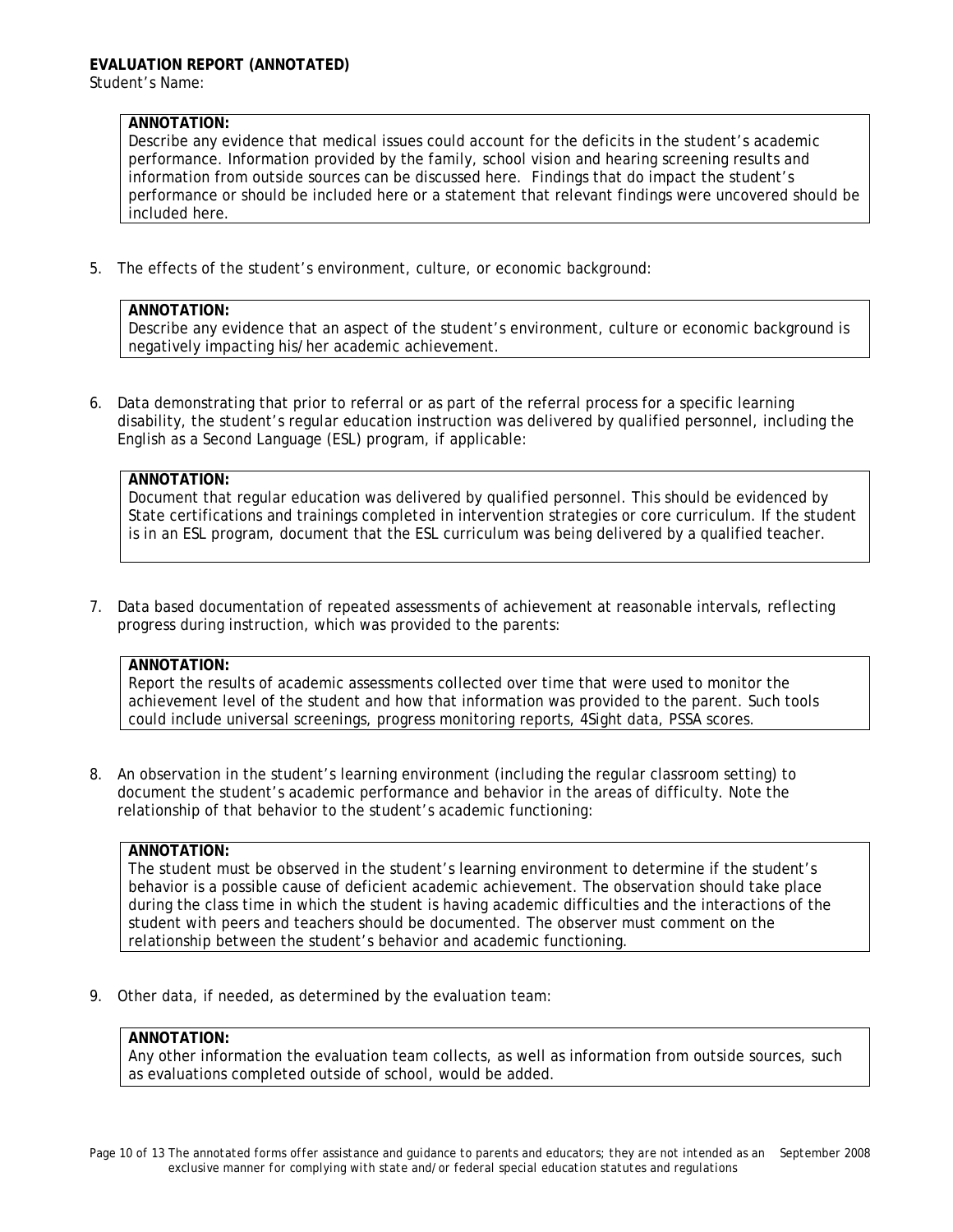# **ANNOTATION:**

Describe any evidence that medical issues could account for the deficits in the student's academic performance. Information provided by the family, school vision and hearing screening results and information from outside sources can be discussed here. Findings that do impact the student's performance or should be included here or a statement that relevant findings were uncovered should be included here.

5. The effects of the student's environment, culture, or economic background:

### **ANNOTATION:**

Describe any evidence that an aspect of the student's environment, culture or economic background is negatively impacting his/her academic achievement.

6. Data demonstrating that prior to referral or as part of the referral process for a specific learning disability, the student's regular education instruction was delivered by qualified personnel, including the English as a Second Language (ESL) program, if applicable:

## **ANNOTATION:**

Document that regular education was delivered by qualified personnel. This should be evidenced by State certifications and trainings completed in intervention strategies or core curriculum. If the student is in an ESL program, document that the ESL curriculum was being delivered by a qualified teacher.

7. Data based documentation of repeated assessments of achievement at reasonable intervals, reflecting progress during instruction, which was provided to the parents:

## **ANNOTATION:**

Report the results of academic assessments collected over time that were used to monitor the achievement level of the student and how that information was provided to the parent. Such tools could include universal screenings, progress monitoring reports, 4Sight data, PSSA scores.

8. An observation in the student's learning environment (including the regular classroom setting) to document the student's academic performance and behavior in the areas of difficulty. Note the relationship of that behavior to the student's academic functioning:

### **ANNOTATION:**

The student must be observed in the student's learning environment to determine if the student's behavior is a possible cause of deficient academic achievement. The observation should take place during the class time in which the student is having academic difficulties and the interactions of the student with peers and teachers should be documented. The observer must comment on the relationship between the student's behavior and academic functioning.

9. Other data, if needed, as determined by the evaluation team:

### **ANNOTATION:**

Any other information the evaluation team collects, as well as information from outside sources, such as evaluations completed outside of school, would be added.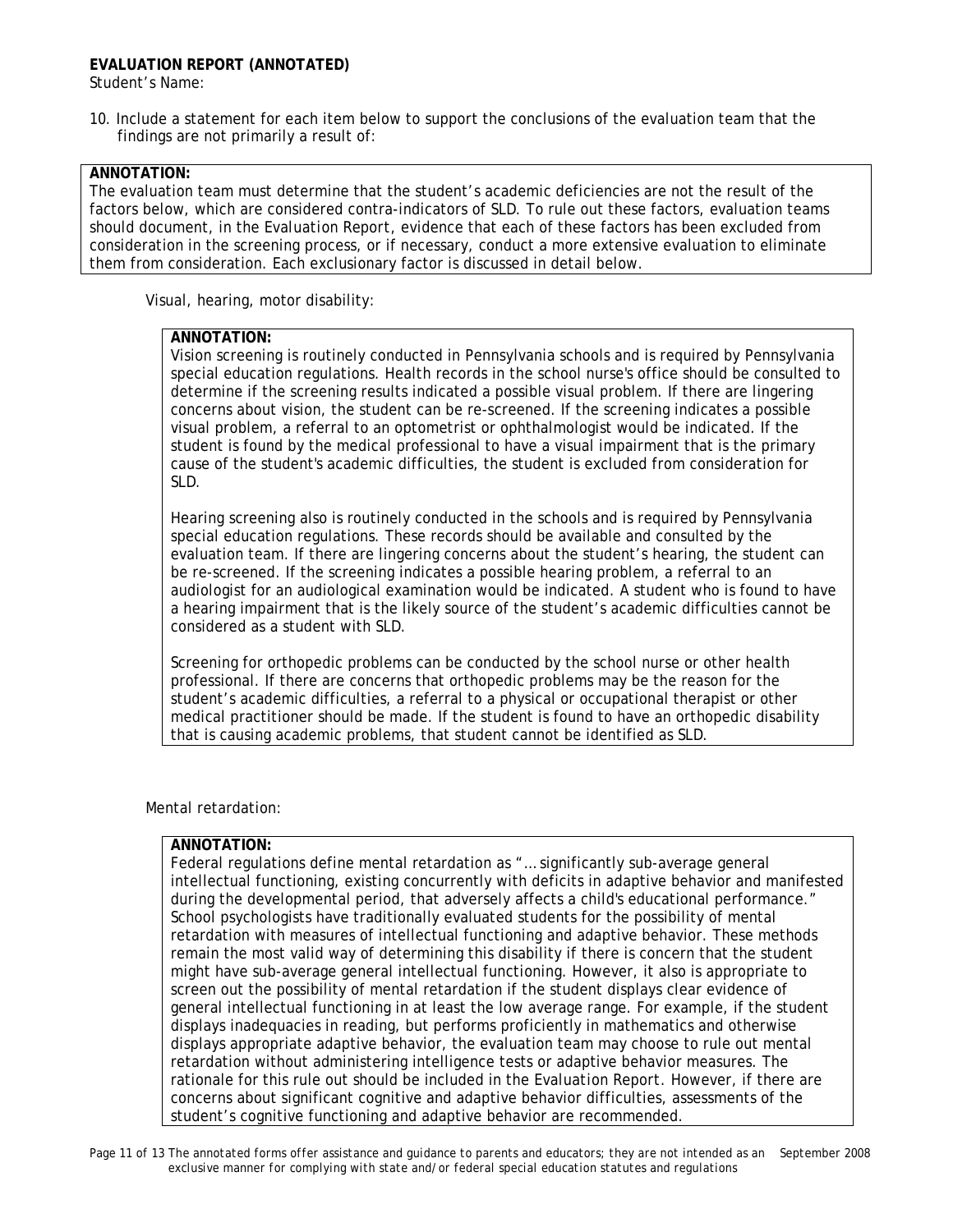# **EVALUATION REPORT (ANNOTATED)**

Student's Name:

10. Include a statement for each item below to support the conclusions of the evaluation team that the findings are not primarily a result of:

# **ANNOTATION:**

The evaluation team must determine that the student's academic deficiencies are not the result of the factors below, which are considered contra-indicators of SLD. To rule out these factors, evaluation teams should document, in the *Evaluation Report*, evidence that each of these factors has been excluded from consideration in the screening process, or if necessary, conduct a more extensive evaluation to eliminate them from consideration. Each exclusionary factor is discussed in detail below.

Visual, hearing, motor disability:

### **ANNOTATION:**

Vision screening is routinely conducted in Pennsylvania schools and is required by Pennsylvania special education regulations. Health records in the school nurse's office should be consulted to determine if the screening results indicated a possible visual problem. If there are lingering concerns about vision, the student can be re-screened. If the screening indicates a possible visual problem, a referral to an optometrist or ophthalmologist would be indicated. If the student is found by the medical professional to have a visual impairment that is the primary cause of the student's academic difficulties, the student is excluded from consideration for SLD.

Hearing screening also is routinely conducted in the schools and is required by Pennsylvania special education regulations. These records should be available and consulted by the evaluation team. If there are lingering concerns about the student's hearing, the student can be re-screened. If the screening indicates a possible hearing problem, a referral to an audiologist for an audiological examination would be indicated. A student who is found to have a hearing impairment that is the likely source of the student's academic difficulties cannot be considered as a student with SLD.

Screening for orthopedic problems can be conducted by the school nurse or other health professional. If there are concerns that orthopedic problems may be the reason for the student's academic difficulties, a referral to a physical or occupational therapist or other medical practitioner should be made. If the student is found to have an orthopedic disability that is causing academic problems, that student cannot be identified as SLD.

Mental retardation:

# **ANNOTATION:**

Federal regulations define mental retardation as "… significantly sub-average general intellectual functioning, existing concurrently with deficits in adaptive behavior and manifested during the developmental period, that adversely affects a child's educational performance." School psychologists have traditionally evaluated students for the possibility of mental retardation with measures of intellectual functioning and adaptive behavior. These methods remain the most valid way of determining this disability if there is concern that the student might have sub-average general intellectual functioning. However, it also is appropriate to screen out the possibility of mental retardation if the student displays clear evidence of general intellectual functioning in at least the low average range. For example, if the student displays inadequacies in reading, but performs proficiently in mathematics and otherwise displays appropriate adaptive behavior, the evaluation team may choose to rule out mental retardation without administering intelligence tests or adaptive behavior measures. The rationale for this rule out should be included in the *Evaluation Report.* However, if there are concerns about significant cognitive and adaptive behavior difficulties, assessments of the student's cognitive functioning and adaptive behavior are recommended.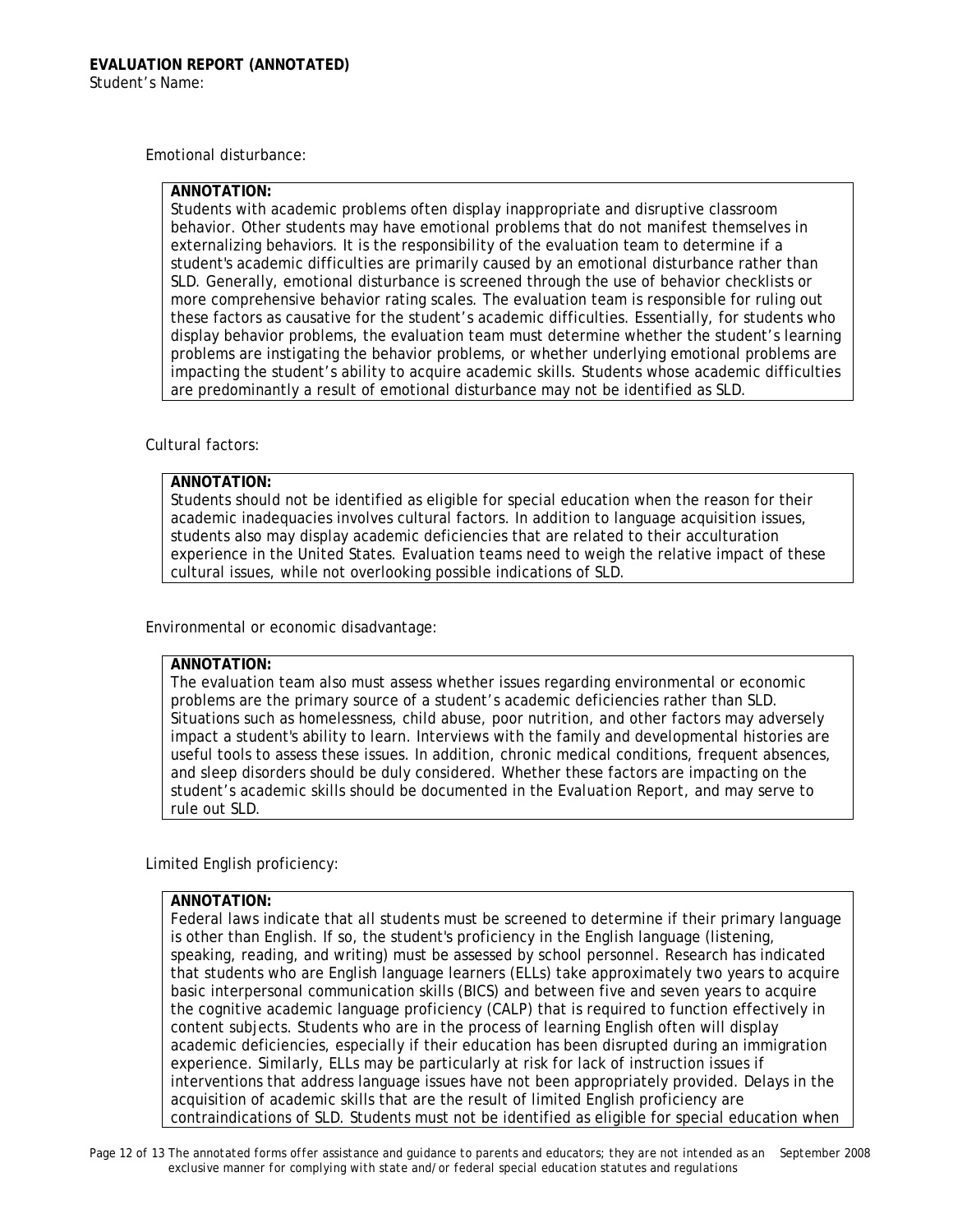Emotional disturbance:

# **ANNOTATION:**

Students with academic problems often display inappropriate and disruptive classroom behavior. Other students may have emotional problems that do not manifest themselves in externalizing behaviors. It is the responsibility of the evaluation team to determine if a student's academic difficulties are primarily caused by an emotional disturbance rather than SLD. Generally, emotional disturbance is screened through the use of behavior checklists or more comprehensive behavior rating scales. The evaluation team is responsible for ruling out these factors as causative for the student's academic difficulties. Essentially, for students who display behavior problems, the evaluation team must determine whether the student's learning problems are instigating the behavior problems, or whether underlying emotional problems are impacting the student's ability to acquire academic skills. Students whose academic difficulties are predominantly a result of emotional disturbance may not be identified as SLD.

## Cultural factors:

# **ANNOTATION:**

Students should not be identified as eligible for special education when the reason for their academic inadequacies involves cultural factors. In addition to language acquisition issues, students also may display academic deficiencies that are related to their acculturation experience in the United States. Evaluation teams need to weigh the relative impact of these cultural issues, while not overlooking possible indications of SLD.

Environmental or economic disadvantage:

### **ANNOTATION:**

The evaluation team also must assess whether issues regarding environmental or economic problems are the primary source of a student's academic deficiencies rather than SLD. Situations such as homelessness, child abuse, poor nutrition, and other factors may adversely impact a student's ability to learn. Interviews with the family and developmental histories are useful tools to assess these issues. In addition, chronic medical conditions, frequent absences, and sleep disorders should be duly considered. Whether these factors are impacting on the student's academic skills should be documented in the *Evaluation Report*, and may serve to rule out SLD.

Limited English proficiency:

### **ANNOTATION:**

Federal laws indicate that all students must be screened to determine if their primary language is other than English. If so, the student's proficiency in the English language (listening, speaking, reading, and writing) must be assessed by school personnel. Research has indicated that students who are English language learners (ELLs) take approximately two years to acquire basic interpersonal communication skills (BICS) and between five and seven years to acquire the cognitive academic language proficiency (CALP) that is required to function effectively in content subjects. Students who are in the process of learning English often will display academic deficiencies, especially if their education has been disrupted during an immigration experience. Similarly, ELLs may be particularly at risk for lack of instruction issues if interventions that address language issues have not been appropriately provided. Delays in the acquisition of academic skills that are the result of limited English proficiency are contraindications of SLD. Students must not be identified as eligible for special education when